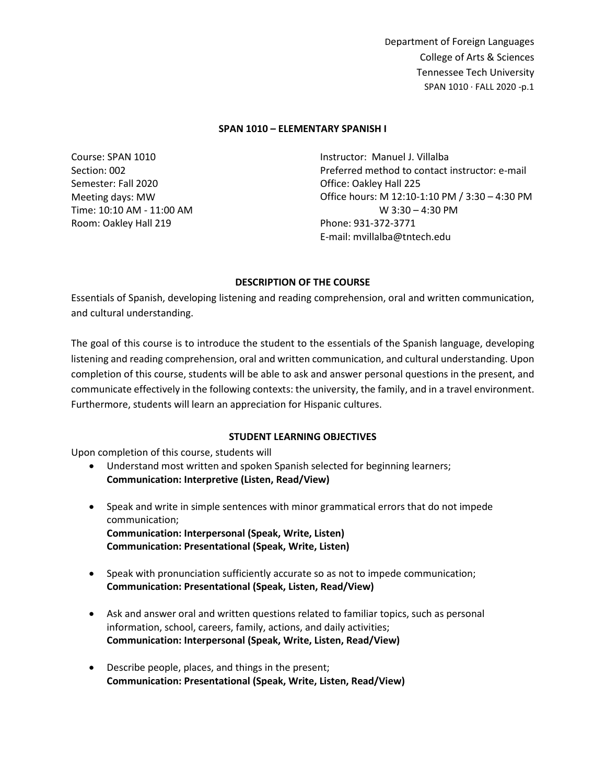#### **SPAN 1010 – ELEMENTARY SPANISH I**

Course: SPAN 1010 Section: 002 Semester: Fall 2020 Meeting days: MW Time: 10:10 AM - 11:00 AM Room: Oakley Hall 219

Instructor: Manuel J. Villalba Preferred method to contact instructor: e-mail Office: Oakley Hall 225 Office hours: M 12:10-1:10 PM / 3:30 – 4:30 PM W 3:30 – 4:30 PM Phone: 931-372-3771 E-mail: mvillalba@tntech.edu

### **DESCRIPTION OF THE COURSE**

Essentials of Spanish, developing listening and reading comprehension, oral and written communication, and cultural understanding.

The goal of this course is to introduce the student to the essentials of the Spanish language, developing listening and reading comprehension, oral and written communication, and cultural understanding. Upon completion of this course, students will be able to ask and answer personal questions in the present, and communicate effectively in the following contexts: the university, the family, and in a travel environment. Furthermore, students will learn an appreciation for Hispanic cultures.

### **STUDENT LEARNING OBJECTIVES**

Upon completion of this course, students will

- Understand most written and spoken Spanish selected for beginning learners; **Communication: Interpretive (Listen, Read/View)**
- Speak and write in simple sentences with minor grammatical errors that do not impede communication; **Communication: Interpersonal (Speak, Write, Listen) Communication: Presentational (Speak, Write, Listen)**
- Speak with pronunciation sufficiently accurate so as not to impede communication; **Communication: Presentational (Speak, Listen, Read/View)**
- Ask and answer oral and written questions related to familiar topics, such as personal information, school, careers, family, actions, and daily activities; **Communication: Interpersonal (Speak, Write, Listen, Read/View)**
- Describe people, places, and things in the present; **Communication: Presentational (Speak, Write, Listen, Read/View)**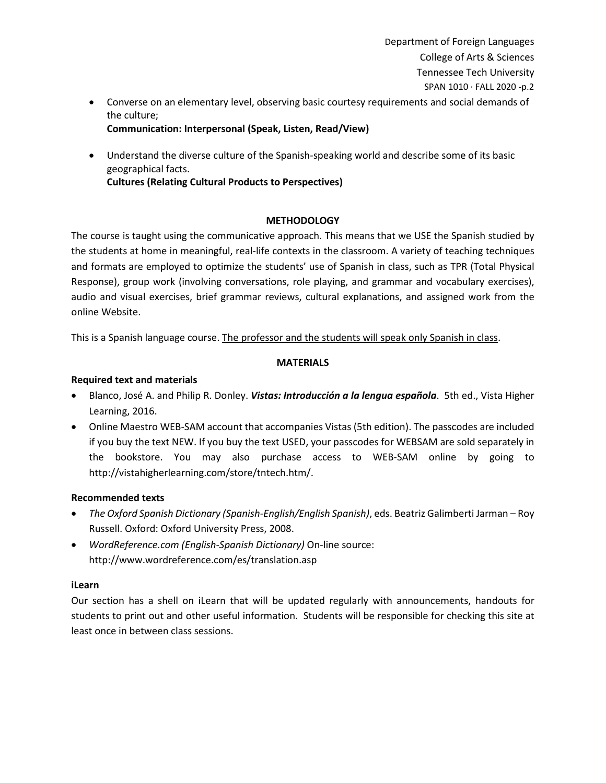• Converse on an elementary level, observing basic courtesy requirements and social demands of the culture;

## **Communication: Interpersonal (Speak, Listen, Read/View)**

• Understand the diverse culture of the Spanish-speaking world and describe some of its basic geographical facts.

**Cultures (Relating Cultural Products to Perspectives)**

# **METHODOLOGY**

The course is taught using the communicative approach. This means that we USE the Spanish studied by the students at home in meaningful, real-life contexts in the classroom. A variety of teaching techniques and formats are employed to optimize the students' use of Spanish in class, such as TPR (Total Physical Response), group work (involving conversations, role playing, and grammar and vocabulary exercises), audio and visual exercises, brief grammar reviews, cultural explanations, and assigned work from the online Website.

This is a Spanish language course. The professor and the students will speak only Spanish in class.

## **MATERIALS**

## **Required text and materials**

- Blanco, José A. and Philip R. Donley. *Vistas: Introducción a la lengua española*. 5th ed., Vista Higher Learning, 2016.
- Online Maestro WEB-SAM account that accompanies Vistas (5th edition). The passcodes are included if you buy the text NEW. If you buy the text USED, your passcodes for WEBSAM are sold separately in the bookstore. You may also purchase access to WEB-SAM online by going to http://vistahigherlearning.com/store/tntech.htm/.

## **Recommended texts**

- *The Oxford Spanish Dictionary (Spanish-English/English Spanish)*, eds. Beatriz Galimberti Jarman Roy Russell. Oxford: Oxford University Press, 2008.
- *WordReference.com (English-Spanish Dictionary)* On-line source: http://www.wordreference.com/es/translation.asp

# **iLearn**

Our section has a shell on iLearn that will be updated regularly with announcements, handouts for students to print out and other useful information. Students will be responsible for checking this site at least once in between class sessions.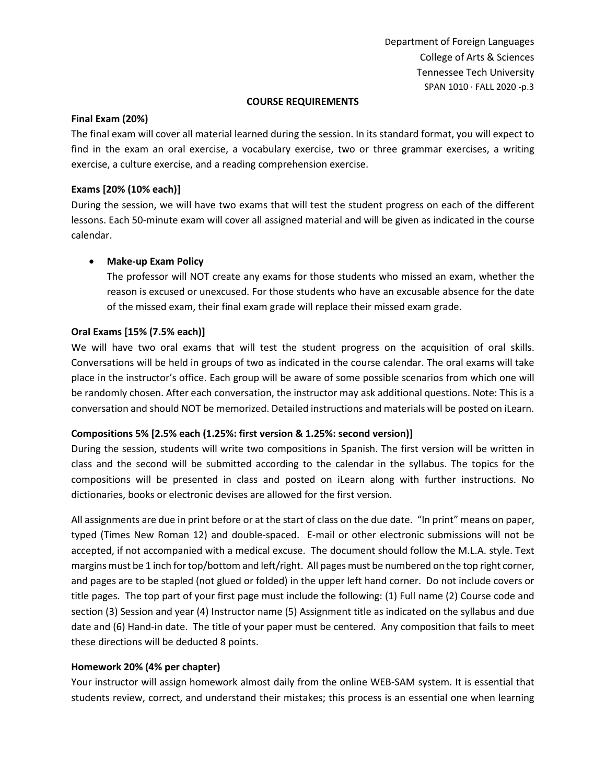#### **COURSE REQUIREMENTS**

## **Final Exam (20%)**

The final exam will cover all material learned during the session. In its standard format, you will expect to find in the exam an oral exercise, a vocabulary exercise, two or three grammar exercises, a writing exercise, a culture exercise, and a reading comprehension exercise.

### **Exams [20% (10% each)]**

During the session, we will have two exams that will test the student progress on each of the different lessons. Each 50-minute exam will cover all assigned material and will be given as indicated in the course calendar.

### • **Make-up Exam Policy**

The professor will NOT create any exams for those students who missed an exam, whether the reason is excused or unexcused. For those students who have an excusable absence for the date of the missed exam, their final exam grade will replace their missed exam grade.

### **Oral Exams [15% (7.5% each)]**

We will have two oral exams that will test the student progress on the acquisition of oral skills. Conversations will be held in groups of two as indicated in the course calendar. The oral exams will take place in the instructor's office. Each group will be aware of some possible scenarios from which one will be randomly chosen. After each conversation, the instructor may ask additional questions. Note: This is a conversation and should NOT be memorized. Detailed instructions and materials will be posted on iLearn.

### **Compositions 5% [2.5% each (1.25%: first version & 1.25%: second version)]**

During the session, students will write two compositions in Spanish. The first version will be written in class and the second will be submitted according to the calendar in the syllabus. The topics for the compositions will be presented in class and posted on iLearn along with further instructions. No dictionaries, books or electronic devises are allowed for the first version.

All assignments are due in print before or at the start of class on the due date. "In print" means on paper, typed (Times New Roman 12) and double-spaced. E-mail or other electronic submissions will not be accepted, if not accompanied with a medical excuse. The document should follow the M.L.A. style. Text margins must be 1 inch for top/bottom and left/right. All pages must be numbered on the top right corner, and pages are to be stapled (not glued or folded) in the upper left hand corner. Do not include covers or title pages. The top part of your first page must include the following: (1) Full name (2) Course code and section (3) Session and year (4) Instructor name (5) Assignment title as indicated on the syllabus and due date and (6) Hand-in date. The title of your paper must be centered. Any composition that fails to meet these directions will be deducted 8 points.

### **Homework 20% (4% per chapter)**

Your instructor will assign homework almost daily from the online WEB-SAM system. It is essential that students review, correct, and understand their mistakes; this process is an essential one when learning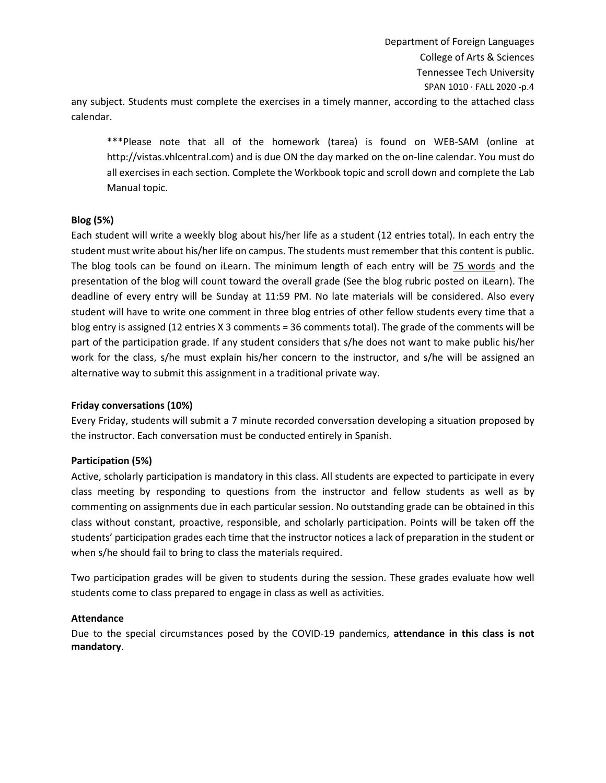any subject. Students must complete the exercises in a timely manner, according to the attached class calendar.

\*\*\*Please note that all of the homework (tarea) is found on WEB-SAM (online at http://vistas.vhlcentral.com) and is due ON the day marked on the on-line calendar. You must do all exercises in each section. Complete the Workbook topic and scroll down and complete the Lab Manual topic.

#### **Blog (5%)**

Each student will write a weekly blog about his/her life as a student (12 entries total). In each entry the student must write about his/her life on campus. The students must remember that this content is public. The blog tools can be found on iLearn. The minimum length of each entry will be 75 words and the presentation of the blog will count toward the overall grade (See the blog rubric posted on iLearn). The deadline of every entry will be Sunday at 11:59 PM. No late materials will be considered. Also every student will have to write one comment in three blog entries of other fellow students every time that a blog entry is assigned (12 entries X 3 comments = 36 comments total). The grade of the comments will be part of the participation grade. If any student considers that s/he does not want to make public his/her work for the class, s/he must explain his/her concern to the instructor, and s/he will be assigned an alternative way to submit this assignment in a traditional private way.

#### **Friday conversations (10%)**

Every Friday, students will submit a 7 minute recorded conversation developing a situation proposed by the instructor. Each conversation must be conducted entirely in Spanish.

#### **Participation (5%)**

Active, scholarly participation is mandatory in this class. All students are expected to participate in every class meeting by responding to questions from the instructor and fellow students as well as by commenting on assignments due in each particular session. No outstanding grade can be obtained in this class without constant, proactive, responsible, and scholarly participation. Points will be taken off the students' participation grades each time that the instructor notices a lack of preparation in the student or when s/he should fail to bring to class the materials required.

Two participation grades will be given to students during the session. These grades evaluate how well students come to class prepared to engage in class as well as activities.

#### **Attendance**

Due to the special circumstances posed by the COVID-19 pandemics, **attendance in this class is not mandatory**.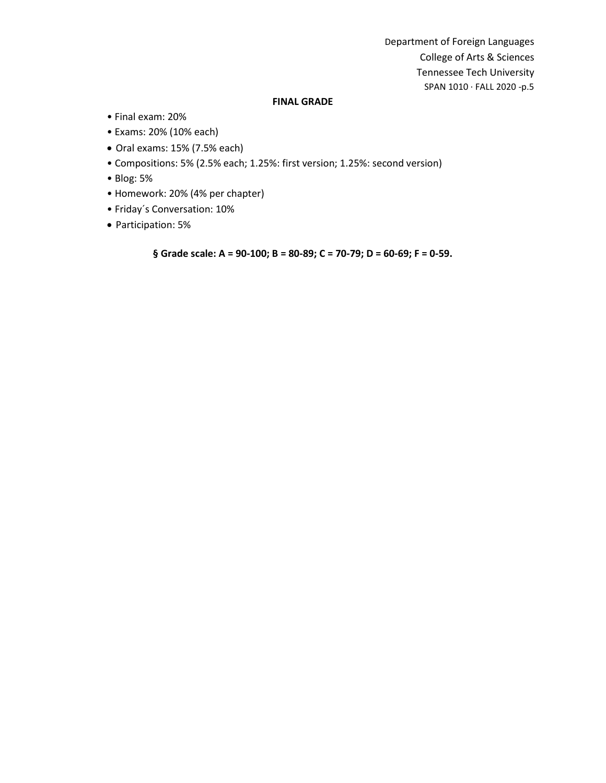#### **FINAL GRADE**

- Final exam: 20%
- Exams: 20% (10% each)
- Oral exams: 15% (7.5% each)
- Compositions: 5% (2.5% each; 1.25%: first version; 1.25%: second version)
- Blog: 5%
- Homework: 20% (4% per chapter)
- Friday´s Conversation: 10%
- Participation: 5%

**§ Grade scale: A = 90-100; B = 80-89; C = 70-79; D = 60-69; F = 0-59.**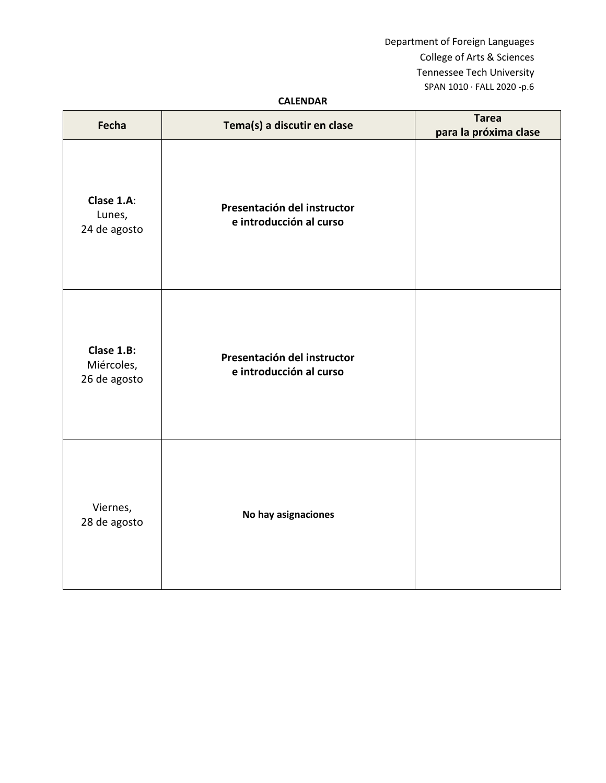## **CALENDAR**

| Fecha                                    | Tema(s) a discutir en clase                            | <b>Tarea</b><br>para la próxima clase |
|------------------------------------------|--------------------------------------------------------|---------------------------------------|
| Clase 1.A:<br>Lunes,<br>24 de agosto     | Presentación del instructor<br>e introducción al curso |                                       |
| Clase 1.B:<br>Miércoles,<br>26 de agosto | Presentación del instructor<br>e introducción al curso |                                       |
| Viernes,<br>28 de agosto                 | No hay asignaciones                                    |                                       |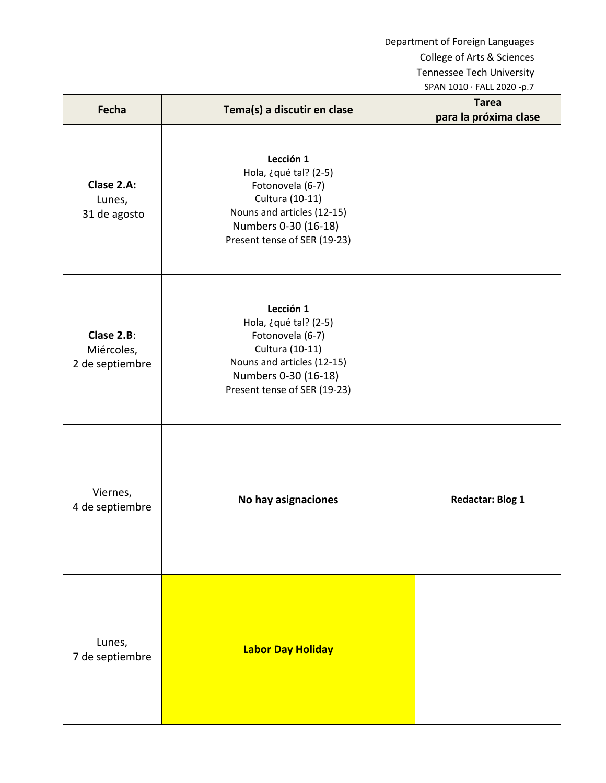| Fecha                                       | Tema(s) a discutir en clase                                                                                                                                     | <b>Tarea</b><br>para la próxima clase |
|---------------------------------------------|-----------------------------------------------------------------------------------------------------------------------------------------------------------------|---------------------------------------|
| Clase 2.A:<br>Lunes,<br>31 de agosto        | Lección 1<br>Hola, ¿qué tal? (2-5)<br>Fotonovela (6-7)<br>Cultura (10-11)<br>Nouns and articles (12-15)<br>Numbers 0-30 (16-18)<br>Present tense of SER (19-23) |                                       |
| Clase 2.B:<br>Miércoles,<br>2 de septiembre | Lección 1<br>Hola, ¿qué tal? (2-5)<br>Fotonovela (6-7)<br>Cultura (10-11)<br>Nouns and articles (12-15)<br>Numbers 0-30 (16-18)<br>Present tense of SER (19-23) |                                       |
| Viernes,<br>4 de septiembre                 | No hay asignaciones                                                                                                                                             | <b>Redactar: Blog 1</b>               |
| Lunes,<br>7 de septiembre                   | <b>Labor Day Holiday</b>                                                                                                                                        |                                       |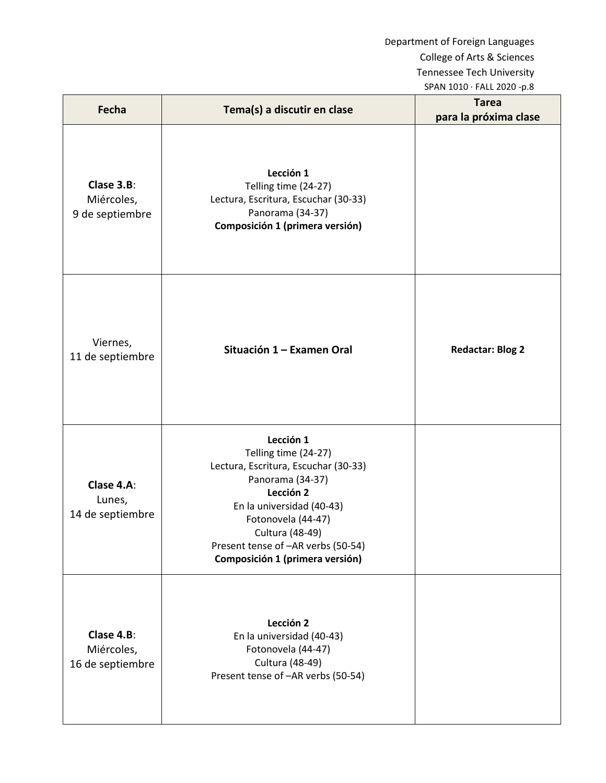| Fecha                                        | Tema(s) a discutir en clase                                                                                                                                                                                                                               | <b>Tarea</b><br>para la próxima clase |
|----------------------------------------------|-----------------------------------------------------------------------------------------------------------------------------------------------------------------------------------------------------------------------------------------------------------|---------------------------------------|
| Clase 3.B:<br>Miércoles,<br>9 de septiembre  | Lección 1<br>Telling time (24-27)<br>Lectura, Escritura, Escuchar (30-33)<br>Panorama (34-37)<br>Composición 1 (primera versión)                                                                                                                          |                                       |
| Viernes,<br>11 de septiembre                 | Situación 1 - Examen Oral                                                                                                                                                                                                                                 | <b>Redactar: Blog 2</b>               |
| Clase 4.A:<br>Lunes,<br>14 de septiembre     | Lección 1<br>Telling time (24-27)<br>Lectura, Escritura, Escuchar (30-33)<br>Panorama (34-37)<br>Lección 2<br>En la universidad (40-43)<br>Fotonovela (44-47)<br>Cultura (48-49)<br>Present tense of -AR verbs (50-54)<br>Composición 1 (primera versión) |                                       |
| Clase 4.B:<br>Miércoles,<br>16 de septiembre | Lección 2<br>En la universidad (40-43)<br>Fotonovela (44-47)<br>Cultura (48-49)<br>Present tense of -AR verbs (50-54)                                                                                                                                     |                                       |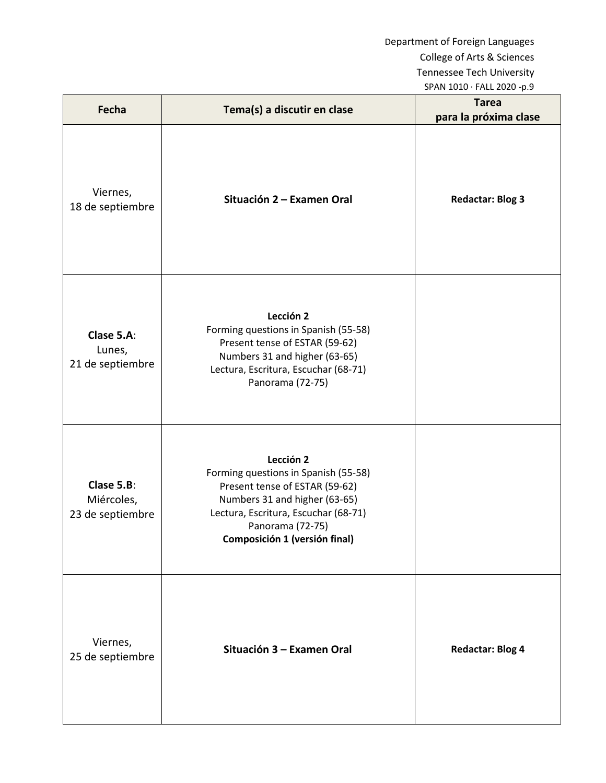| Fecha                                        | Tema(s) a discutir en clase                                                                                                                                                                                       | <b>Tarea</b><br>para la próxima clase |
|----------------------------------------------|-------------------------------------------------------------------------------------------------------------------------------------------------------------------------------------------------------------------|---------------------------------------|
| Viernes,<br>18 de septiembre                 | Situación 2 – Examen Oral                                                                                                                                                                                         | <b>Redactar: Blog 3</b>               |
| Clase 5.A:<br>Lunes,<br>21 de septiembre     | Lección 2<br>Forming questions in Spanish (55-58)<br>Present tense of ESTAR (59-62)<br>Numbers 31 and higher (63-65)<br>Lectura, Escritura, Escuchar (68-71)<br>Panorama (72-75)                                  |                                       |
| Clase 5.B:<br>Miércoles,<br>23 de septiembre | Lección 2<br>Forming questions in Spanish (55-58)<br>Present tense of ESTAR (59-62)<br>Numbers 31 and higher (63-65)<br>Lectura, Escritura, Escuchar (68-71)<br>Panorama (72-75)<br>Composición 1 (versión final) |                                       |
| Viernes,<br>25 de septiembre                 | Situación 3 - Examen Oral                                                                                                                                                                                         | <b>Redactar: Blog 4</b>               |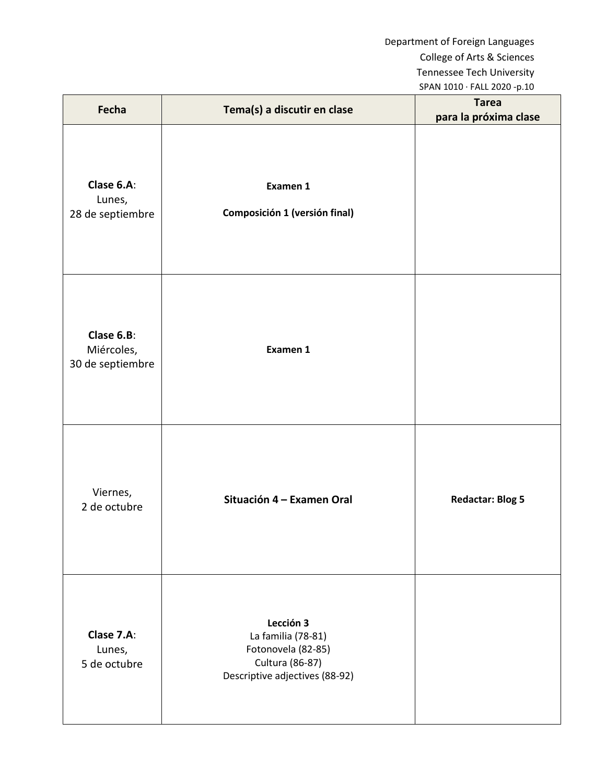| Fecha                                        | Tema(s) a discutir en clase                                                                                | <b>Tarea</b><br>para la próxima clase |
|----------------------------------------------|------------------------------------------------------------------------------------------------------------|---------------------------------------|
| Clase 6.A:<br>Lunes,<br>28 de septiembre     | Examen 1<br>Composición 1 (versión final)                                                                  |                                       |
| Clase 6.B:<br>Miércoles,<br>30 de septiembre | Examen 1                                                                                                   |                                       |
| Viernes,<br>2 de octubre                     | Situación 4 – Examen Oral                                                                                  | <b>Redactar: Blog 5</b>               |
| Clase 7.A:<br>Lunes,<br>5 de octubre         | Lección 3<br>La familia (78-81)<br>Fotonovela (82-85)<br>Cultura (86-87)<br>Descriptive adjectives (88-92) |                                       |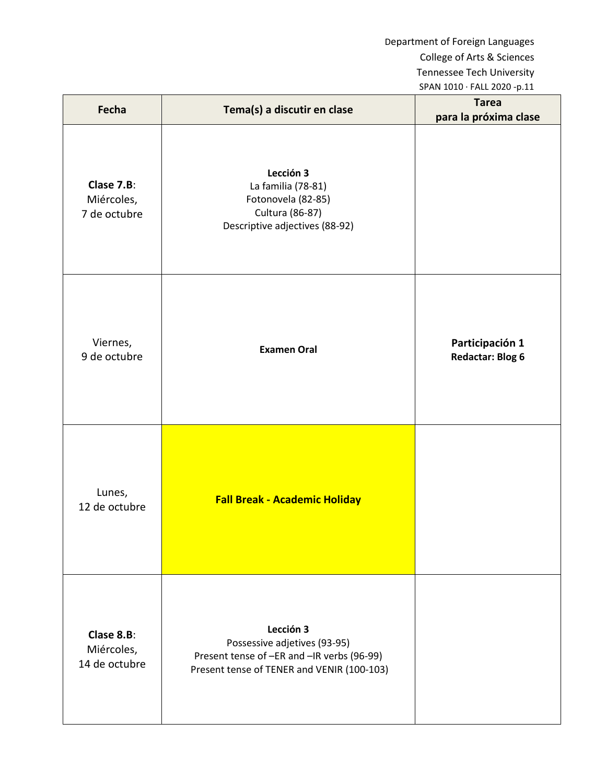| Fecha                                     | Tema(s) a discutir en clase                                                                                                           | <b>Tarea</b><br>para la próxima clase      |
|-------------------------------------------|---------------------------------------------------------------------------------------------------------------------------------------|--------------------------------------------|
| Clase 7.B:<br>Miércoles,<br>7 de octubre  | Lección 3<br>La familia (78-81)<br>Fotonovela (82-85)<br>Cultura (86-87)<br>Descriptive adjectives (88-92)                            |                                            |
| Viernes,<br>9 de octubre                  | <b>Examen Oral</b>                                                                                                                    | Participación 1<br><b>Redactar: Blog 6</b> |
| Lunes,<br>12 de octubre                   | <b>Fall Break - Academic Holiday</b>                                                                                                  |                                            |
| Clase 8.B:<br>Miércoles,<br>14 de octubre | Lección 3<br>Possessive adjetives (93-95)<br>Present tense of -ER and -IR verbs (96-99)<br>Present tense of TENER and VENIR (100-103) |                                            |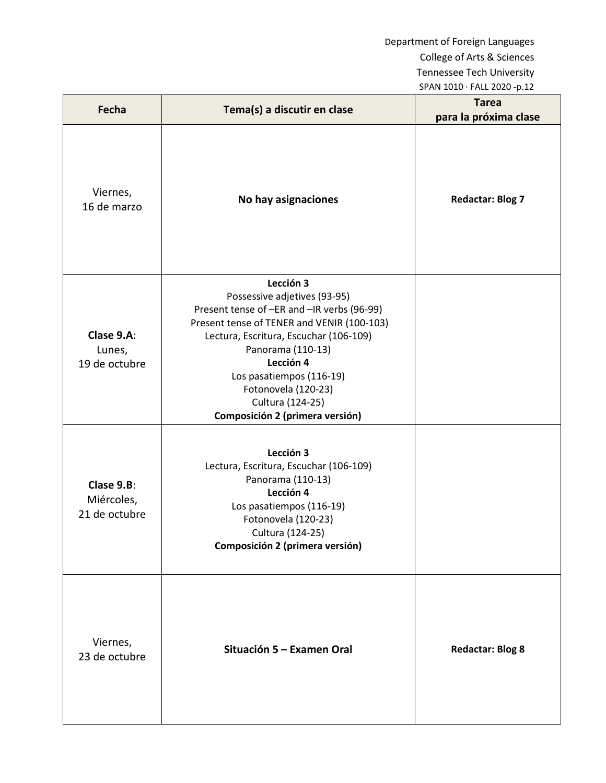| Fecha                                     | Tema(s) a discutir en clase                                                                                                                                                                                                                                                                                                 | <b>Tarea</b><br>para la próxima clase |
|-------------------------------------------|-----------------------------------------------------------------------------------------------------------------------------------------------------------------------------------------------------------------------------------------------------------------------------------------------------------------------------|---------------------------------------|
| Viernes,<br>16 de marzo                   | No hay asignaciones                                                                                                                                                                                                                                                                                                         | <b>Redactar: Blog 7</b>               |
| Clase 9.A:<br>Lunes,<br>19 de octubre     | Lección 3<br>Possessive adjetives (93-95)<br>Present tense of -ER and -IR verbs (96-99)<br>Present tense of TENER and VENIR (100-103)<br>Lectura, Escritura, Escuchar (106-109)<br>Panorama (110-13)<br>Lección 4<br>Los pasatiempos (116-19)<br>Fotonovela (120-23)<br>Cultura (124-25)<br>Composición 2 (primera versión) |                                       |
| Clase 9.B:<br>Miércoles,<br>21 de octubre | Lección 3<br>Lectura, Escritura, Escuchar (106-109)<br>Panorama (110-13)<br>Lección 4<br>Los pasatiempos (116-19)<br>Fotonovela (120-23)<br>Cultura (124-25)<br>Composición 2 (primera versión)                                                                                                                             |                                       |
| Viernes,<br>23 de octubre                 | Situación 5 – Examen Oral                                                                                                                                                                                                                                                                                                   | <b>Redactar: Blog 8</b>               |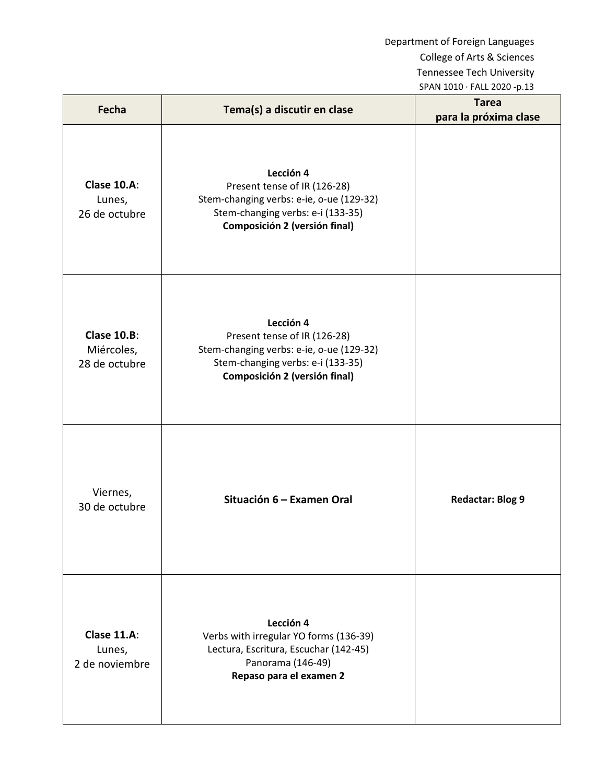| Fecha                                             | Tema(s) a discutir en clase                                                                                                                                        | <b>Tarea</b><br>para la próxima clase |
|---------------------------------------------------|--------------------------------------------------------------------------------------------------------------------------------------------------------------------|---------------------------------------|
| <b>Clase 10.A:</b><br>Lunes,<br>26 de octubre     | Lección 4<br>Present tense of IR (126-28)<br>Stem-changing verbs: e-ie, o-ue (129-32)<br>Stem-changing verbs: e-i (133-35)<br><b>Composición 2 (versión final)</b> |                                       |
| <b>Clase 10.B:</b><br>Miércoles,<br>28 de octubre | Lección 4<br>Present tense of IR (126-28)<br>Stem-changing verbs: e-ie, o-ue (129-32)<br>Stem-changing verbs: e-i (133-35)<br>Composición 2 (versión final)        |                                       |
| Viernes,<br>30 de octubre                         | Situación 6 - Examen Oral                                                                                                                                          | <b>Redactar: Blog 9</b>               |
| Clase 11.A:<br>Lunes,<br>2 de noviembre           | Lección 4<br>Verbs with irregular YO forms (136-39)<br>Lectura, Escritura, Escuchar (142-45)<br>Panorama (146-49)<br>Repaso para el examen 2                       |                                       |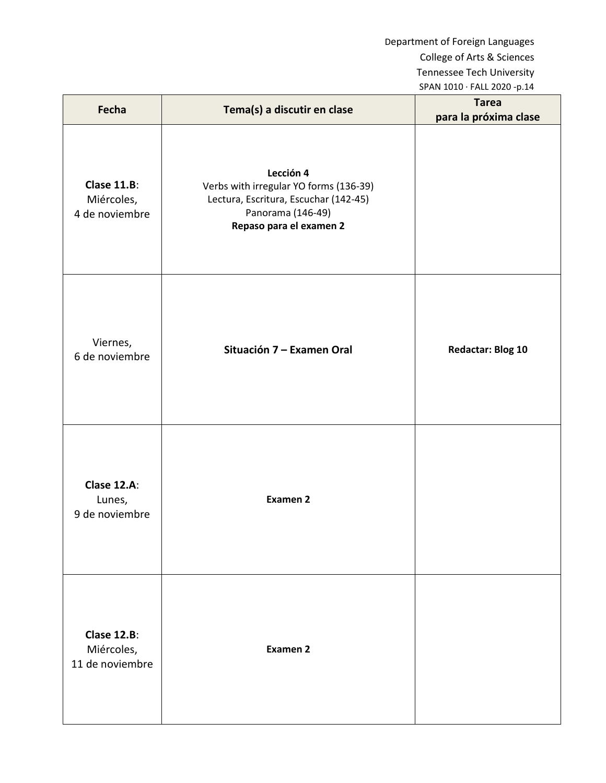| Fecha                                               | Tema(s) a discutir en clase                                                                                                                  | <b>Tarea</b><br>para la próxima clase |
|-----------------------------------------------------|----------------------------------------------------------------------------------------------------------------------------------------------|---------------------------------------|
| Clase 11.B:<br>Miércoles,<br>4 de noviembre         | Lección 4<br>Verbs with irregular YO forms (136-39)<br>Lectura, Escritura, Escuchar (142-45)<br>Panorama (146-49)<br>Repaso para el examen 2 |                                       |
| Viernes,<br>6 de noviembre                          | Situación 7 - Examen Oral                                                                                                                    | <b>Redactar: Blog 10</b>              |
| Clase 12.A:<br>Lunes,<br>9 de noviembre             | <b>Examen 2</b>                                                                                                                              |                                       |
| <b>Clase 12.B:</b><br>Miércoles,<br>11 de noviembre | <b>Examen 2</b>                                                                                                                              |                                       |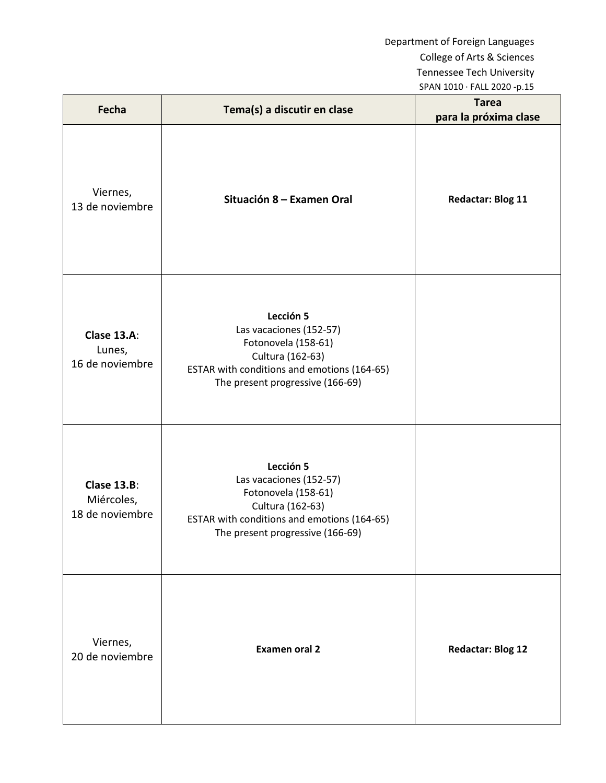| Fecha                                               | Tema(s) a discutir en clase                                                                                                                                        | <b>Tarea</b><br>para la próxima clase |
|-----------------------------------------------------|--------------------------------------------------------------------------------------------------------------------------------------------------------------------|---------------------------------------|
| Viernes,<br>13 de noviembre                         | Situación 8 – Examen Oral                                                                                                                                          | <b>Redactar: Blog 11</b>              |
| Clase 13.A:<br>Lunes,<br>16 de noviembre            | Lección 5<br>Las vacaciones (152-57)<br>Fotonovela (158-61)<br>Cultura (162-63)<br>ESTAR with conditions and emotions (164-65)<br>The present progressive (166-69) |                                       |
| <b>Clase 13.B:</b><br>Miércoles,<br>18 de noviembre | Lección 5<br>Las vacaciones (152-57)<br>Fotonovela (158-61)<br>Cultura (162-63)<br>ESTAR with conditions and emotions (164-65)<br>The present progressive (166-69) |                                       |
| Viernes,<br>20 de noviembre                         | <b>Examen oral 2</b>                                                                                                                                               | <b>Redactar: Blog 12</b>              |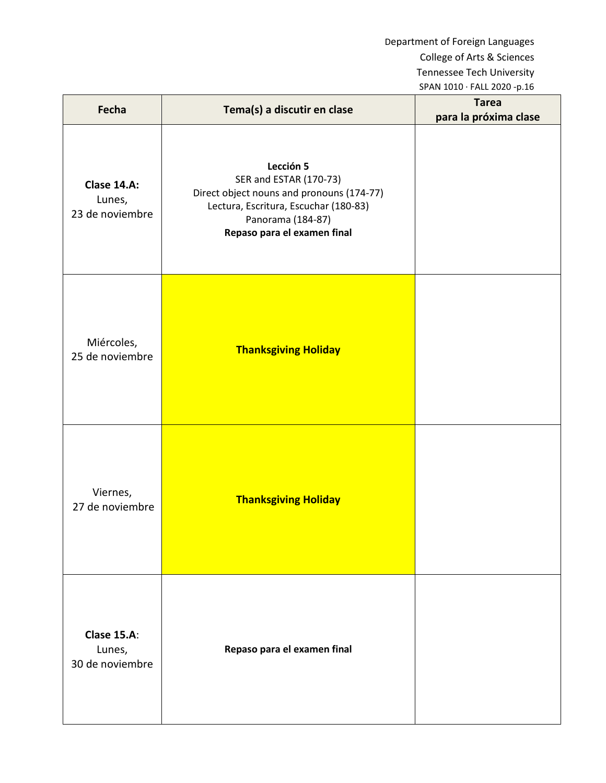| Fecha                                           | Tema(s) a discutir en clase                                                                                                                                                   | <b>Tarea</b><br>para la próxima clase |
|-------------------------------------------------|-------------------------------------------------------------------------------------------------------------------------------------------------------------------------------|---------------------------------------|
| Clase 14.A:<br>Lunes,<br>23 de noviembre        | Lección 5<br>SER and ESTAR (170-73)<br>Direct object nouns and pronouns (174-77)<br>Lectura, Escritura, Escuchar (180-83)<br>Panorama (184-87)<br>Repaso para el examen final |                                       |
| Miércoles,<br>25 de noviembre                   | <b>Thanksgiving Holiday</b>                                                                                                                                                   |                                       |
| Viernes,<br>27 de noviembre                     | <b>Thanksgiving Holiday</b>                                                                                                                                                   |                                       |
| <b>Clase 15.A:</b><br>Lunes,<br>30 de noviembre | Repaso para el examen final                                                                                                                                                   |                                       |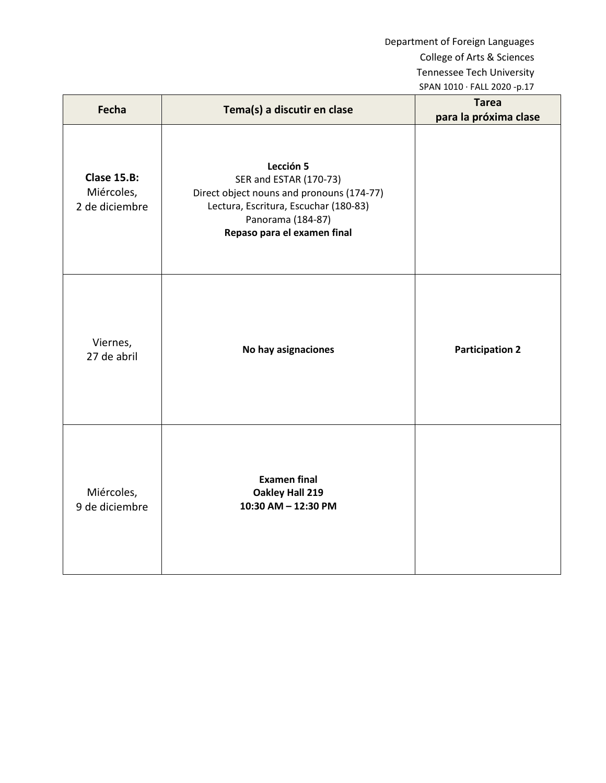| Fecha                                              | Tema(s) a discutir en clase                                                                                                                                                   | <b>Tarea</b>           |
|----------------------------------------------------|-------------------------------------------------------------------------------------------------------------------------------------------------------------------------------|------------------------|
|                                                    |                                                                                                                                                                               | para la próxima clase  |
| <b>Clase 15.B:</b><br>Miércoles,<br>2 de diciembre | Lección 5<br>SER and ESTAR (170-73)<br>Direct object nouns and pronouns (174-77)<br>Lectura, Escritura, Escuchar (180-83)<br>Panorama (184-87)<br>Repaso para el examen final |                        |
| Viernes,<br>27 de abril                            | No hay asignaciones                                                                                                                                                           | <b>Participation 2</b> |
| Miércoles,<br>9 de diciembre                       | <b>Examen final</b><br>Oakley Hall 219<br>10:30 AM - 12:30 PM                                                                                                                 |                        |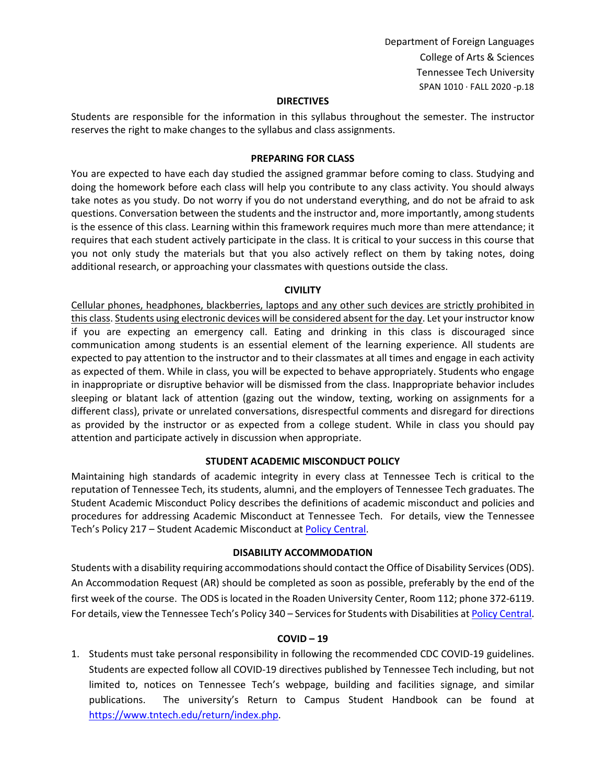#### **DIRECTIVES**

Students are responsible for the information in this syllabus throughout the semester. The instructor reserves the right to make changes to the syllabus and class assignments.

#### **PREPARING FOR CLASS**

You are expected to have each day studied the assigned grammar before coming to class. Studying and doing the homework before each class will help you contribute to any class activity. You should always take notes as you study. Do not worry if you do not understand everything, and do not be afraid to ask questions. Conversation between the students and the instructor and, more importantly, among students is the essence of this class. Learning within this framework requires much more than mere attendance; it requires that each student actively participate in the class. It is critical to your success in this course that you not only study the materials but that you also actively reflect on them by taking notes, doing additional research, or approaching your classmates with questions outside the class.

#### **CIVILITY**

Cellular phones, headphones, blackberries, laptops and any other such devices are strictly prohibited in this class. Students using electronic devices will be considered absent for the day. Let your instructor know if you are expecting an emergency call. Eating and drinking in this class is discouraged since communication among students is an essential element of the learning experience. All students are expected to pay attention to the instructor and to their classmates at all times and engage in each activity as expected of them. While in class, you will be expected to behave appropriately. Students who engage in inappropriate or disruptive behavior will be dismissed from the class. Inappropriate behavior includes sleeping or blatant lack of attention (gazing out the window, texting, working on assignments for a different class), private or unrelated conversations, disrespectful comments and disregard for directions as provided by the instructor or as expected from a college student. While in class you should pay attention and participate actively in discussion when appropriate.

### **STUDENT ACADEMIC MISCONDUCT POLICY**

Maintaining high standards of academic integrity in every class at Tennessee Tech is critical to the reputation of Tennessee Tech, its students, alumni, and the employers of Tennessee Tech graduates. The Student Academic Misconduct Policy describes the definitions of academic misconduct and policies and procedures for addressing Academic Misconduct at Tennessee Tech. For details, view the Tennessee Tech's Policy 217 – Student Academic Misconduct a[t Policy Central.](https://tntech.policytech.com/dotNet/noAuth/login.aspx?ReturnUrl=%2fDefault.aspx%3fauto%3dfalse&auto=false&public=true)

#### **DISABILITY ACCOMMODATION**

Students with a disability requiring accommodations should contact the Office of Disability Services (ODS). An Accommodation Request (AR) should be completed as soon as possible, preferably by the end of the first week of the course. The ODS is located in the Roaden University Center, Room 112; phone 372-6119. For details, view the Tennessee Tech's Policy 340 – Services for Students with Disabilities a[t Policy Central.](https://tntech.policytech.com/dotNet/noAuth/login.aspx?ReturnUrl=%2fDefault.aspx%3fauto%3dfalse&auto=false&public=true)

#### **COVID – 19**

1. Students must take personal responsibility in following the recommended CDC COVID-19 guidelines. Students are expected follow all COVID-19 directives published by Tennessee Tech including, but not limited to, notices on Tennessee Tech's webpage, building and facilities signage, and similar publications. The university's Return to Campus Student Handbook can be found at [https://www.tntech.edu/return/index.php.](https://www.tntech.edu/return/index.php)